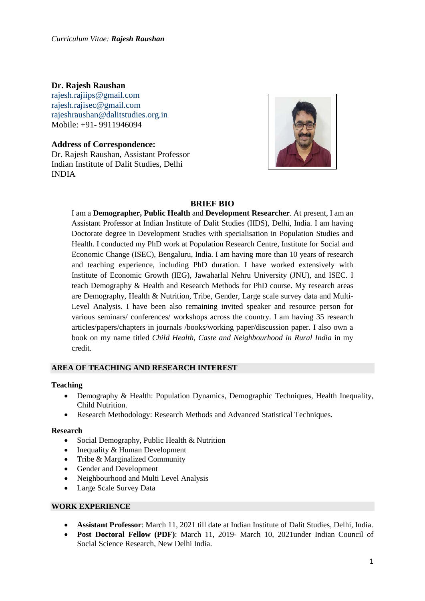### **Dr. Rajesh Raushan**

[rajesh.rajiips@gmail.com](mailto:rajesh.rajiips@gmail.com) [rajesh.rajisec@gmail.com](mailto:rajesh.rajisec@gmail.com) [rajeshraushan@dalitstudies.org.in](mailto:rajeshraushan@dalitstudies.org.in) Mobile: +91- 9911946094

**Address of Correspondence:** Dr. Rajesh Raushan, Assistant Professor Indian Institute of Dalit Studies, Delhi INDIA



## **BRIEF BIO**

I am a **Demographer, Public Health** and **Development Researcher**. At present, I am an Assistant Professor at Indian Institute of Dalit Studies (IIDS), Delhi, India. I am having Doctorate degree in Development Studies with specialisation in Population Studies and Health. I conducted my PhD work at Population Research Centre, Institute for Social and Economic Change (ISEC), Bengaluru, India. I am having more than 10 years of research and teaching experience, including PhD duration. I have worked extensively with Institute of Economic Growth (IEG), Jawaharlal Nehru University (JNU), and ISEC. I teach Demography & Health and Research Methods for PhD course. My research areas are Demography, Health & Nutrition, Tribe, Gender, Large scale survey data and Multi-Level Analysis. I have been also remaining invited speaker and resource person for various seminars/ conferences/ workshops across the country. I am having 35 research articles/papers/chapters in journals /books/working paper/discussion paper. I also own a book on my name titled *Child Health, Caste and Neighbourhood in Rural India* in my credit.

#### **AREA OF TEACHING AND RESEARCH INTEREST**

#### **Teaching**

- Demography & Health: Population Dynamics, Demographic Techniques, Health Inequality, Child Nutrition.
- Research Methodology: Research Methods and Advanced Statistical Techniques.

#### **Research**

- Social Demography, Public Health & Nutrition
- Inequality & Human Development
- Tribe & Marginalized Community
- Gender and Development
- Neighbourhood and Multi Level Analysis
- Large Scale Survey Data

#### **WORK EXPERIENCE**

- **Assistant Professor**: March 11, 2021 till date at Indian Institute of Dalit Studies, Delhi, India.
- **Post Doctoral Fellow (PDF)**: March 11, 2019- March 10, 2021under Indian Council of Social Science Research, New Delhi India.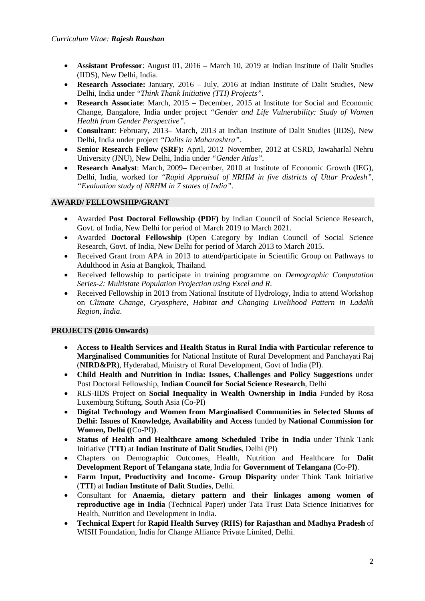- **Assistant Professor**: August 01, 2016 March 10, 2019 at Indian Institute of Dalit Studies (IIDS), New Delhi, India.
- **Research Associate:** January, 2016 July, 2016 at Indian Institute of Dalit Studies, New Delhi, India under *"Think Thank Initiative (TTI) Projects"*.
- **Research Associate**: March, 2015 December, 2015 at Institute for Social and Economic Change, Bangalore, India under project *"Gender and Life Vulnerability: Study of Women Health from Gender Perspective".*
- **Consultant**: February, 2013– March, 2013 at Indian Institute of Dalit Studies (IIDS), New Delhi, India under project *"Dalits in Maharashtra".*
- **Senior Research Fellow (SRF):** April, 2012–November, 2012 at CSRD, Jawaharlal Nehru University (JNU), New Delhi, India under *"Gender Atlas".*
- **Research Analyst**: March, 2009– December, 2010 at Institute of Economic Growth (IEG), Delhi, India, worked for *"Rapid Appraisal of NRHM in five districts of Uttar Pradesh", "Evaluation study of NRHM in 7 states of India".*

### **AWARD/ FELLOWSHIP/GRANT**

- Awarded **Post Doctoral Fellowship (PDF)** by Indian Council of Social Science Research, Govt. of India, New Delhi for period of March 2019 to March 2021.
- Awarded **Doctoral Fellowship** (Open Category by Indian Council of Social Science Research, Govt. of India, New Delhi for period of March 2013 to March 2015.
- Received Grant from APA in 2013 to attend/participate in Scientific Group on Pathways to Adulthood in Asia at Bangkok, Thailand.
- Received fellowship to participate in training programme on *Demographic Computation Series-2: Multistate Population Projection using Excel and R*.
- Received Fellowship in 2013 from National Institute of Hydrology, India to attend Workshop on *Climate Change, Cryosphere, Habitat and Changing Livelihood Pattern in Ladakh Region, India*.

### **PROJECTS (2016 Onwards)**

- **Access to Health Services and Health Status in Rural India with Particular reference to Marginalised Communities** for National Institute of Rural Development and Panchayati Raj (**NIRD&PR**), Hyderabad, Ministry of Rural Development, Govt of India (PI).
- **Child Health and Nutrition in India: Issues, Challenges and Policy Suggestions** under Post Doctoral Fellowship, **Indian Council for Social Science Research**, Delhi
- RLS-IIDS Project on **Social Inequality in Wealth Ownership in India** Funded by Rosa Luxemburg Stiftung, South Asia (Co-PI)
- **Digital Technology and Women from Marginalised Communities in Selected Slums of Delhi: Issues of Knowledge, Availability and Access** funded by **National Commission for Women, Delhi (**(Co-PI)**)**.
- **Status of Health and Healthcare among Scheduled Tribe in India** under Think Tank Initiative (**TTI**) at **Indian Institute of Dalit Studies**, Delhi (PI)
- Chapters on Demographic Outcomes, Health, Nutrition and Healthcare for **Dalit Development Report of Telangana state**, India for **Government of Telangana (**Co-PI**)**.
- **Farm Input, Productivity and Income- Group Disparity** under Think Tank Initiative (**TTI**) at **Indian Institute of Dalit Studies**, Delhi.
- Consultant for **Anaemia, dietary pattern and their linkages among women of reproductive age in India** (Technical Paper) under Tata Trust Data Science Initiatives for Health, Nutrition and Development in India.
- **Technical Expert** for **Rapid Health Survey (RHS) for Rajasthan and Madhya Pradesh** of WISH Foundation, India for Change Alliance Private Limited, Delhi.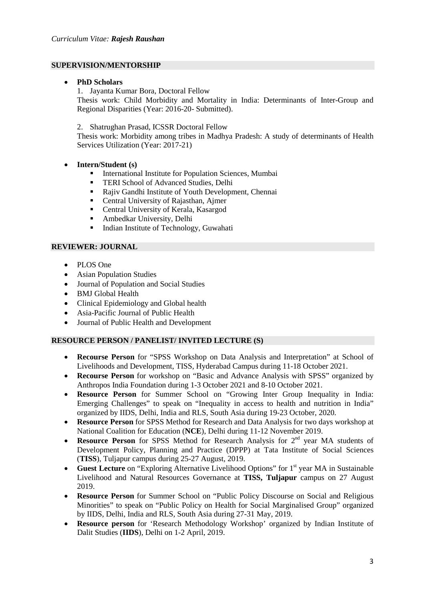#### **SUPERVISION/MENTORSHIP**

#### • **PhD Scholars**

1. Jayanta Kumar Bora, Doctoral Fellow Thesis work: Child Morbidity and Mortality in India: Determinants of Inter-Group and Regional Disparities (Year: 2016-20- Submitted).

2. Shatrughan Prasad, ICSSR Doctoral Fellow

Thesis work: Morbidity among tribes in Madhya Pradesh: A study of determinants of Health Services Utilization (Year: 2017-21)

- **Intern/Student (s)**
	- International Institute for Population Sciences, Mumbai
	- TERI School of Advanced Studies, Delhi
	- Rajiv Gandhi Institute of Youth Development, Chennai
	- Central University of Rajasthan, Ajmer
	- **•** Central University of Kerala, Kasargod
	- Ambedkar University, Delhi
	- **Indian Institute of Technology, Guwahati**

#### **REVIEWER: JOURNAL**

- PLOS One
- Asian Population Studies
- Journal of Population and Social Studies
- BMJ Global Health
- Clinical Epidemiology and Global health
- Asia-Pacific Journal of Public Health
- Journal of Public Health and Development

#### **RESOURCE PERSON / PANELIST/ INVITED LECTURE (S)**

- **Recourse Person** for "SPSS Workshop on Data Analysis and Interpretation" at School of Livelihoods and Development, TISS, Hyderabad Campus during 11-18 October 2021.
- **Recourse Person** for workshop on "Basic and Advance Analysis with SPSS" organized by Anthropos India Foundation during 1-3 October 2021 and 8-10 October 2021.
- **Resource Person** for Summer School on "Growing Inter Group Inequality in India: Emerging Challenges" to speak on "Inequality in access to health and nutrition in India" organized by IIDS, Delhi, India and RLS, South Asia during 19-23 October, 2020.
- **Resource Person** for SPSS Method for Research and Data Analysis for two days workshop at National Coalition for Education (**NCE**), Delhi during 11-12 November 2019.
- **Resource Person** for SPSS Method for Research Analysis for 2<sup>nd</sup> year MA students of Development Policy, Planning and Practice (DPPP) at Tata Institute of Social Sciences (**TISS**), Tuljapur campus during 25-27 August, 2019.
- **Guest Lecture** on "Exploring Alternative Livelihood Options" for 1<sup>st</sup> year MA in Sustainable Livelihood and Natural Resources Governance at **TISS, Tuljapur** campus on 27 August 2019.
- **Resource Person** for Summer School on "Public Policy Discourse on Social and Religious Minorities" to speak on "Public Policy on Health for Social Marginalised Group" organized by IIDS, Delhi, India and RLS, South Asia during 27-31 May, 2019.
- **Resource person** for 'Research Methodology Workshop' organized by Indian Institute of Dalit Studies (**IIDS**), Delhi on 1-2 April, 2019.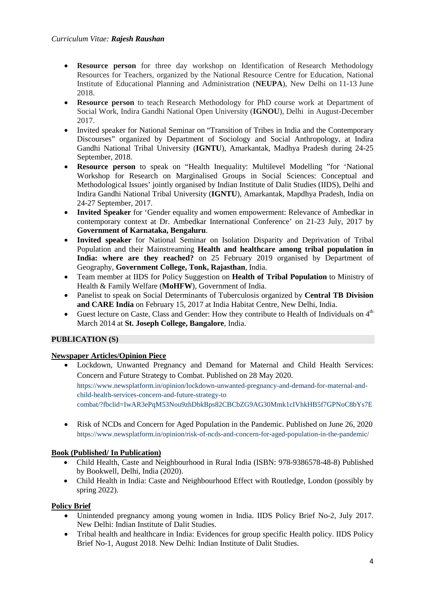- **Resource person** for three day workshop on Identification of Research Methodology Resources for Teachers, organized by the National Resource Centre for Education, National Institute of Educational Planning and Administration (**NEUPA**), New Delhi on 11-13 June 2018.
- **Resource person** to teach Research Methodology for PhD course work at Department of Social Work, Indira Gandhi National Open University (**IGNOU**), Delhi in August-December 2017.
- Invited speaker for National Seminar on "Transition of Tribes in India and the Contemporary Discourses" organized by Department of Sociology and Social Anthropology, at Indira Gandhi National Tribal University (**IGNTU**), Amarkantak, Madhya Pradesh during 24-25 September, 2018.
- **Resource person** to speak on "Health Inequality: Multilevel Modelling "for 'National Workshop for Research on Marginalised Groups in Social Sciences: Conceptual and Methodological Issues' jointly organised by Indian Institute of Dalit Studies (IIDS), Delhi and Indira Gandhi National Tribal University (**IGNTU**), Amarkantak, Mapdhya Pradesh, India on 24-27 September, 2017.
- **Invited Speaker** for 'Gender equality and women empowerment: Relevance of Ambedkar in contemporary context at Dr. Ambedkar International Conference' on 21-23 July, 2017 by **Government of Karnataka, Bengaluru**.
- **Invited speaker** for National Seminar on Isolation Disparity and Deprivation of Tribal Population and their Mainstreaming **Health and healthcare among tribal population in India: where are they reached?** on 25 February 2019 organised by Department of Geography, **Government College, Tonk, Rajasthan**, India.
- Team member at IIDS for Policy Suggestion on **Health of Tribal Population** to Ministry of Health & Family Welfare (**MoHFW**), Government of India.
- Panelist to speak on Social Determinants of Tuberculosis organized by **Central TB Division and CARE India** on February 15, 2017 at India Habitat Centre, New Delhi, India.
- Guest lecture on Caste, Class and Gender: How they contribute to Health of Individuals on 4<sup>th</sup> March 2014 at **St. Joseph College, Bangalore**, India.

# **PUBLICATION (S)**

### **Newspaper Articles/Opinion Piece**

- Lockdown, Unwanted Pregnancy and Demand for Maternal and Child Health Services: Concern and Future Strategy to Combat. Published on 28 May 2020. [https://www.newsplatform.in/opinion/lockdown-unwanted-pregnancy-and-demand-for-maternal-and](https://www.newsplatform.in/opinion/lockdown-unwanted-pregnancy-and-demand-for-maternal-and-child-health-services-concern-and-future-strategy-to%20combat/?fbclid=IwAR3ePqM53Nou9zhDbkBps82CBCbZG9AG30Mmk1cIVhkHB5f7GPNoC8bYs7E)[child-health-services-concern-and-future-strategy-to](https://www.newsplatform.in/opinion/lockdown-unwanted-pregnancy-and-demand-for-maternal-and-child-health-services-concern-and-future-strategy-to%20combat/?fbclid=IwAR3ePqM53Nou9zhDbkBps82CBCbZG9AG30Mmk1cIVhkHB5f7GPNoC8bYs7E)  [combat/?fbclid=IwAR3ePqM53Nou9zhDbkBps82CBCbZG9AG30Mmk1cIVhkHB5f7GPNoC8bYs7E](https://www.newsplatform.in/opinion/lockdown-unwanted-pregnancy-and-demand-for-maternal-and-child-health-services-concern-and-future-strategy-to%20combat/?fbclid=IwAR3ePqM53Nou9zhDbkBps82CBCbZG9AG30Mmk1cIVhkHB5f7GPNoC8bYs7E)
- Risk of NCDs and Concern for Aged Population in the Pandemic. Published on June 26, 2020 <https://www.newsplatform.in/opinion/risk-of-ncds-and-concern-for-aged-population-in-the-pandemic/>

### **Book (Published/ In Publication)**

- Child Health, Caste and Neighbourhood in Rural India (ISBN: 978-9386578-48-8) Published by Bookwell, Delhi, India (2020).
- Child Health in India: Caste and Neighbourhood Effect with Routledge, London (possibly by spring 2022).

### **Policy Brief**

- Unintended pregnancy among young women in India. IIDS Policy Brief No-2, July 2017. New Delhi: Indian Institute of Dalit Studies.
- Tribal health and healthcare in India: Evidences for group specific Health policy. IIDS Policy Brief No-1, August 2018. New Delhi: Indian Institute of Dalit Studies.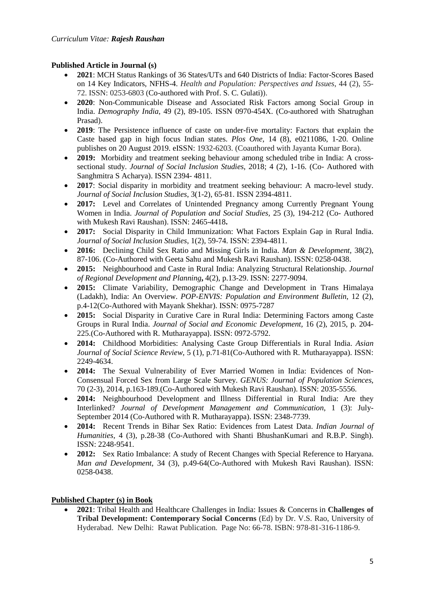## **Published Article in Journal (s)**

- **2021**: MCH Status Rankings of 36 States/UTs and 640 Districts of India: Factor-Scores Based on 14 Key Indicators, NFHS-4. *Health and Population: Perspectives and Issues*, 44 (2), 55- 72. ISSN: 0253-6803 (Co-authored with Prof. S. C. Gulati)).
- **2020**: Non-Communicable Disease and Associated Risk Factors among Social Group in India. *Demography India*, 49 (2), 89-105. ISSN 0970-454X. (Co-authored with Shatrughan Prasad).
- **2019**: The Persistence influence of caste on under-five mortality: Factors that explain the Caste based gap in high focus Indian states. *Plos One,* 14 (8), e0211086, 1-20. Online publishes on 20 August 2019. eISSN: 1932-6203. (Coauthored with Jayanta Kumar Bora).
- **2019:** Morbidity and treatment seeking behaviour among scheduled tribe in India: A crosssectional study. *Journal of Social Inclusion Studies*, 2018; 4 (2), 1-16. (Co- Authored with Sanghmitra S Acharya). ISSN 2394- 4811.
- **2017**: Social disparity in morbidity and treatment seeking behaviour: A macro-level study. *Journal of Social Inclusion Studies*, 3(1-2), 65-81. ISSN 2394-4811.
- **2017:** Level and Correlates of Unintended Pregnancy among Currently Pregnant Young Women in India. *Journal of Population and Social Studies,* 25 (3), 194-212 (Co- Authored with Mukesh Ravi Raushan). ISSN: 2465-4418**.**
- **2017:** Social Disparity in Child Immunization: What Factors Explain Gap in Rural India. *Journal of Social Inclusion Studies*, 1(2), 59-74. ISSN: 2394-4811.
- **2016:** Declining Child Sex Ratio and Missing Girls in India. *Man & Development*, 38(2), 87-106. (Co-Authored with Geeta Sahu and Mukesh Ravi Raushan). ISSN: 0258-0438.
- **2015:** Neighbourhood and Caste in Rural India: Analyzing Structural Relationship. *Journal of Regional Development and Planning***,** 4(2), p.13-29. ISSN: 2277-9094.
- **2015:** Climate Variability, Demographic Change and Development in Trans Himalaya (Ladakh), India: An Overview. *POP-ENVIS: Population and Environment Bulletin*, 12 (2), p.4-12(Co-Authored with Mayank Shekhar). ISSN: 0975-7287
- **2015:** Social Disparity in Curative Care in Rural India: Determining Factors among Caste Groups in Rural India. *Journal of Social and Economic Development,* 16 (2), 2015, p. 204- 225.(Co-Authored with R. Mutharayappa). ISSN: 0972-5792.
- **2014:** Childhood Morbidities: Analysing Caste Group Differentials in Rural India. *Asian Journal of Social Science Review*, 5 (1), p.71-81(Co-Authored with R. Mutharayappa). ISSN: 2249-4634.
- **2014:** The Sexual Vulnerability of Ever Married Women in India: Evidences of Non-Consensual Forced Sex from Large Scale Survey. *GENUS: Journal of Population Sciences,*  70 (2-3), 2014, p.163-189.(Co-Authored with Mukesh Ravi Raushan). ISSN: 2035-5556.
- **2014:** Neighbourhood Development and Illness Differential in Rural India: Are they Interlinked? *Journal of Development Management and Communication*, 1 (3): July-September 2014 (Co-Authored with R. Mutharayappa). ISSN: 2348-7739.
- **2014:** Recent Trends in Bihar Sex Ratio: Evidences from Latest Data. *Indian Journal of Humanities,* 4 (3), p.28-38 (Co-Authored with Shanti BhushanKumari and R.B.P. Singh). ISSN: 2248-9541.
- **2012:** Sex Ratio Imbalance: A study of Recent Changes with Special Reference to Haryana. *Man and Development*, 34 (3), p.49-64(Co-Authored with Mukesh Ravi Raushan). ISSN: 0258-0438.

# **Published Chapter (s) in Book**

• **2021**: Tribal Health and Healthcare Challenges in India: Issues & Concerns in **Challenges of Tribal Development: Contemporary Social Concerns** (Ed) by Dr. V.S. Rao, University of Hyderabad. New Delhi: Rawat Publication. Page No: 66-78. ISBN: 978-81-316-1186-9.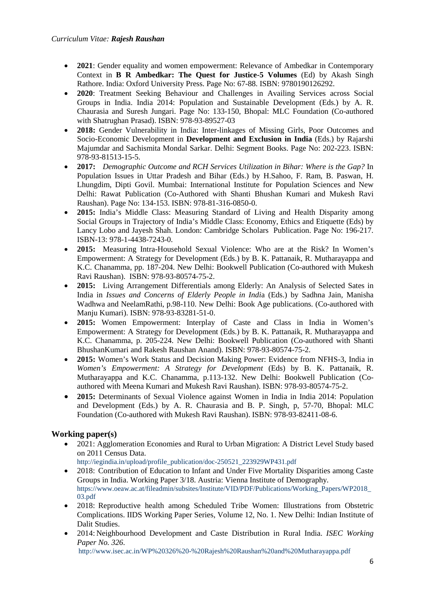- **2021**: Gender equality and women empowerment: Relevance of Ambedkar in Contemporary Context in **B R Ambedkar: The Quest for Justice-5 Volumes** (Ed) by Akash Singh Rathore. India: Oxford University Press. Page No: 67-88. ISBN: 9780190126292.
- **2020**: Treatment Seeking Behaviour and Challenges in Availing Services across Social Groups in India. India 2014: Population and Sustainable Development (Eds.) by A. R. Chaurasia and Suresh Jungari. Page No: 133-150, Bhopal: MLC Foundation (Co-authored with Shatrughan Prasad). ISBN: 978-93-89527-03
- **2018:** Gender Vulnerability in India: Inter-linkages of Missing Girls, Poor Outcomes and Socio-Economic Development in **Development and Exclusion in India** (Eds.) by Rajarshi Majumdar and Sachismita Mondal Sarkar. Delhi: Segment Books. Page No: 202-223. ISBN: 978-93-81513-15-5.
- **2017:** *Demographic Outcome and RCH Services Utilization in Bihar: Where is the Gap?* In Population Issues in Uttar Pradesh and Bihar (Eds.) by H.Sahoo, F. Ram, B. Paswan, H. Lhungdim, Dipti Govil. Mumbai: International Institute for Population Sciences and New Delhi: Rawat Publication (Co-Authored with Shanti Bhushan Kumari and Mukesh Ravi Raushan). Page No: 134-153. ISBN: 978-81-316-0850-0.
- **2015:** India's Middle Class: Measuring Standard of Living and Health Disparity among Social Groups in Trajectory of India's Middle Class: Economy, Ethics and Etiquette (Eds) by Lancy Lobo and Jayesh Shah. London: Cambridge Scholars Publication. Page No: 196-217. ISBN-13: 978-1-4438-7243-0.
- **2015:** Measuring Intra-Household Sexual Violence: Who are at the Risk? In Women's Empowerment: A Strategy for Development (Eds.) by B. K. Pattanaik, R. Mutharayappa and K.C. Chanamma, pp. 187-204. New Delhi: Bookwell Publication (Co-authored with Mukesh Ravi Raushan). ISBN: 978-93-80574-75-2.
- **2015:** Living Arrangement Differentials among Elderly: An Analysis of Selected Sates in India in *Issues and Concerns of Elderly People in Indi*a (Eds.) by Sadhna Jain, Manisha Wadhwa and NeelamRathi, p.98-110. New Delhi: Book Age publications. (Co-authored with Manju Kumari). ISBN: 978-93-83281-51-0.
- **2015:** Women Empowerment: Interplay of Caste and Class in India in Women's Empowerment: A Strategy for Development (Eds.) by B. K. Pattanaik, R. Mutharayappa and K.C. Chanamma, p. 205-224. New Delhi: Bookwell Publication (Co-authored with Shanti BhushanKumari and Rakesh Raushan Anand). ISBN: 978-93-80574-75-2.
- **2015:** Women's Work Status and Decision Making Power: Evidence from NFHS-3, India in *Women's Empowerment: A Strategy for Development* (Eds) by B. K. Pattanaik, R. Mutharayappa and K.C. Chanamma, p.113-132. New Delhi: Bookwell Publication (Coauthored with Meena Kumari and Mukesh Ravi Raushan). ISBN: 978-93-80574-75-2.
- **2015:** Determinants of Sexual Violence against Women in India in India 2014: Population and Development (Eds.) by A. R. Chaurasia and B. P. Singh, p, 57-70, Bhopal: MLC Foundation (Co-authored with Mukesh Ravi Raushan). ISBN: 978-93-82411-08-6.

# **Working paper(s)**

• 2021: Agglomeration Economies and Rural to Urban Migration: A District Level Study based on 2011 Census Data.

[http://iegindia.in/upload/profile\\_publication/doc-250521\\_223929WP431.pdf](http://iegindia.in/upload/profile_publication/doc-250521_223929WP431.pdf) 

- 2018: Contribution of Education to Infant and Under Five Mortality Disparities among Caste Groups in India. Working Paper 3/18. Austria: Vienna Institute of Demography*.* [https://www.oeaw.ac.at/fileadmin/subsites/Institute/VID/PDF/Publications/Working\\_Papers/WP2018\\_](https://www.oeaw.ac.at/fileadmin/subsites/Institute/VID/PDF/Publications/Working_Papers/WP2018_03.pdf) [03.pdf](https://www.oeaw.ac.at/fileadmin/subsites/Institute/VID/PDF/Publications/Working_Papers/WP2018_03.pdf)
- 2018: Reproductive health among Scheduled Tribe Women: Illustrations from Obstetric Complications. IIDS Working Paper Series, Volume 12, No. 1. New Delhi: Indian Institute of Dalit Studies.
- 2014: Neighbourhood Development and Caste Distribution in Rural India. *ISEC Working Paper No. 326*.

<http://www.isec.ac.in/WP%20326%20-%20Rajesh%20Raushan%20and%20Mutharayappa.pdf>